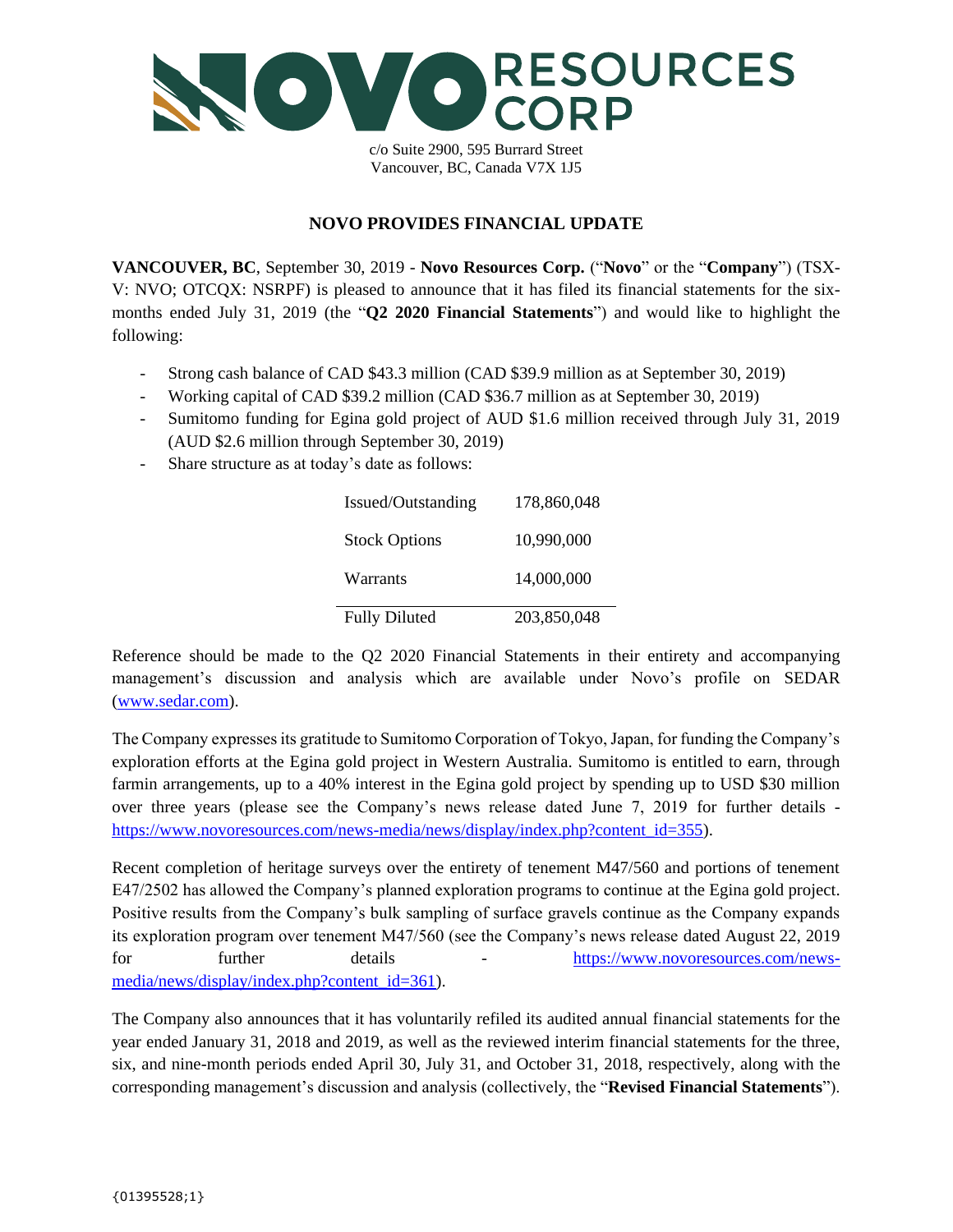

c/o Suite 2900, 595 Burrard Street Vancouver, BC, Canada V7X 1J5

## **NOVO PROVIDES FINANCIAL UPDATE**

**VANCOUVER, BC**, September 30, 2019 - **Novo Resources Corp.** ("**Novo**" or the "**Company**") (TSX-V: NVO; OTCQX: NSRPF) is pleased to announce that it has filed its financial statements for the sixmonths ended July 31, 2019 (the "**Q2 2020 Financial Statements**") and would like to highlight the following:

- Strong cash balance of CAD \$43.3 million (CAD \$39.9 million as at September 30, 2019)
- Working capital of CAD \$39.2 million (CAD \$36.7 million as at September 30, 2019)
- Sumitomo funding for Egina gold project of AUD \$1.6 million received through July 31, 2019 (AUD \$2.6 million through September 30, 2019)
- Share structure as at today's date as follows:

| <b>Fully Diluted</b> | 203,850,048 |
|----------------------|-------------|
| Warrants             | 14,000,000  |
| <b>Stock Options</b> | 10,990,000  |
| Issued/Outstanding   | 178,860,048 |

Reference should be made to the Q2 2020 Financial Statements in their entirety and accompanying management's discussion and analysis which are available under Novo's profile on SEDAR [\(www.sedar.com\)](http://www.sedar.com/).

The Company expresses its gratitude to Sumitomo Corporation of Tokyo, Japan, for funding the Company's exploration efforts at the Egina gold project in Western Australia. Sumitomo is entitled to earn, through farmin arrangements, up to a 40% interest in the Egina gold project by spending up to USD \$30 million over three years (please see the Company's news release dated June 7, 2019 for further details [https://www.novoresources.com/news-media/news/display/index.php?content\\_id=355\)](https://www.novoresources.com/news-media/news/display/index.php?content_id=355).

Recent completion of heritage surveys over the entirety of tenement M47/560 and portions of tenement E47/2502 has allowed the Company's planned exploration programs to continue at the Egina gold project. Positive results from the Company's bulk sampling of surface gravels continue as the Company expands its exploration program over tenement M47/560 (see the Company's news release dated August 22, 2019 for further details - [https://www.novoresources.com/news](https://www.novoresources.com/news-media/news/display/index.php?content_id=361)[media/news/display/index.php?content\\_id=361\)](https://www.novoresources.com/news-media/news/display/index.php?content_id=361).

The Company also announces that it has voluntarily refiled its audited annual financial statements for the year ended January 31, 2018 and 2019, as well as the reviewed interim financial statements for the three, six, and nine-month periods ended April 30, July 31, and October 31, 2018, respectively, along with the corresponding management's discussion and analysis (collectively, the "**Revised Financial Statements**").